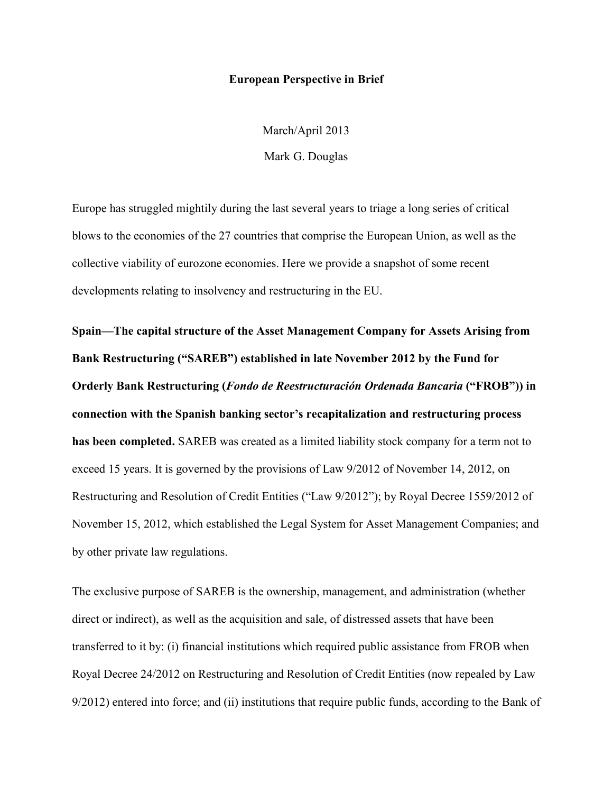## **European Perspective in Brief**

March/April 2013 Mark G. Douglas

Europe has struggled mightily during the last several years to triage a long series of critical blows to the economies of the 27 countries that comprise the European Union, as well as the collective viability of eurozone economies. Here we provide a snapshot of some recent developments relating to insolvency and restructuring in the EU.

**Spain—The capital structure of the Asset Management Company for Assets Arising from Bank Restructuring ("SAREB") established in late November 2012 by the Fund for Orderly Bank Restructuring (***Fondo de Reestructuración Ordenada Bancaria* **("FROB")) in connection with the Spanish banking sector's recapitalization and restructuring process has been completed.** SAREB was created as a limited liability stock company for a term not to exceed 15 years. It is governed by the provisions of Law 9/2012 of November 14, 2012, on Restructuring and Resolution of Credit Entities ("Law 9/2012"); by Royal Decree 1559/2012 of November 15, 2012, which established the Legal System for Asset Management Companies; and by other private law regulations.

The exclusive purpose of SAREB is the ownership, management, and administration (whether direct or indirect), as well as the acquisition and sale, of distressed assets that have been transferred to it by: (i) financial institutions which required public assistance from FROB when Royal Decree 24/2012 on Restructuring and Resolution of Credit Entities (now repealed by Law 9/2012) entered into force; and (ii) institutions that require public funds, according to the Bank of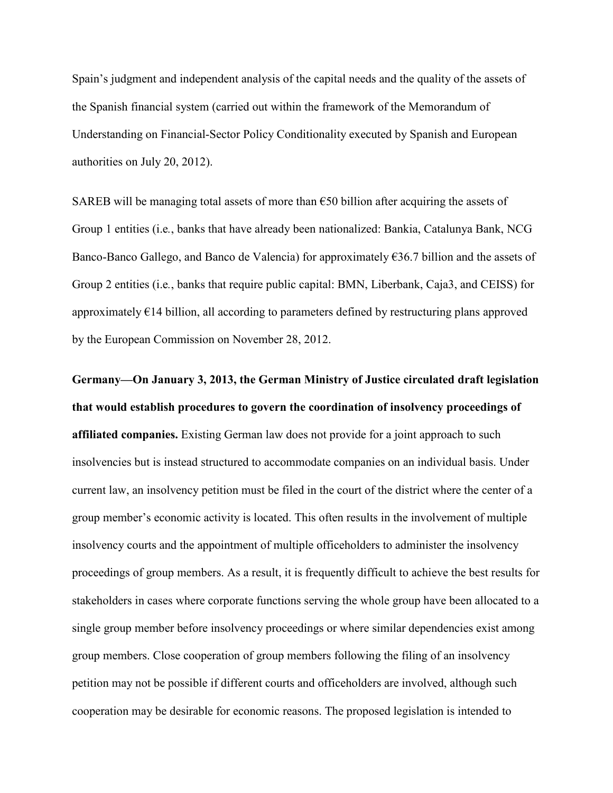Spain's judgment and independent analysis of the capital needs and the quality of the assets of the Spanish financial system (carried out within the framework of the Memorandum of Understanding on Financial-Sector Policy Conditionality executed by Spanish and European authorities on July 20, 2012).

SAREB will be managing total assets of more than €50 billion after acquiring the assets of Group 1 entities (i.e*.*, banks that have already been nationalized: Bankia, Catalunya Bank, NCG Banco-Banco Gallego, and Banco de Valencia) for approximately €36.7 billion and the assets of Group 2 entities (i.e*.*, banks that require public capital: BMN, Liberbank, Caja3, and CEISS) for approximately €14 billion, all according to parameters defined by restructuring plans approved by the European Commission on November 28, 2012.

**Germany—On January 3, 2013, the German Ministry of Justice circulated draft legislation that would establish procedures to govern the coordination of insolvency proceedings of affiliated companies.** Existing German law does not provide for a joint approach to such insolvencies but is instead structured to accommodate companies on an individual basis. Under current law, an insolvency petition must be filed in the court of the district where the center of a group member's economic activity is located. This often results in the involvement of multiple insolvency courts and the appointment of multiple officeholders to administer the insolvency proceedings of group members. As a result, it is frequently difficult to achieve the best results for stakeholders in cases where corporate functions serving the whole group have been allocated to a single group member before insolvency proceedings or where similar dependencies exist among group members. Close cooperation of group members following the filing of an insolvency petition may not be possible if different courts and officeholders are involved, although such cooperation may be desirable for economic reasons. The proposed legislation is intended to